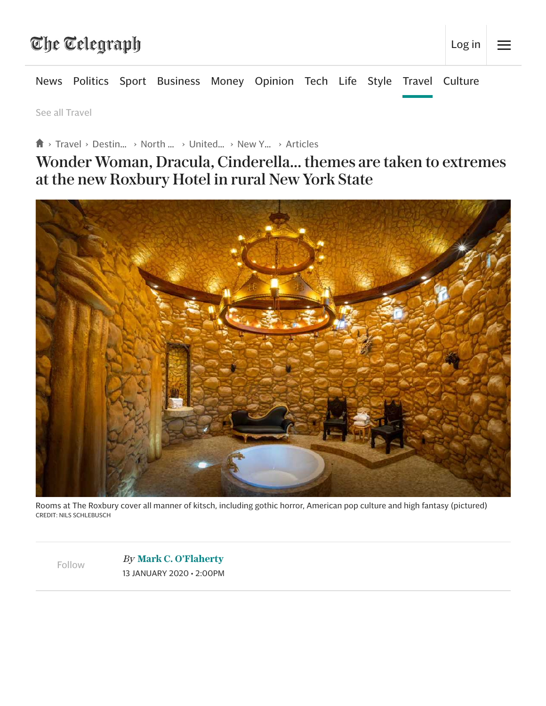[News](https://www.telegraph.co.uk/news/) [Politics](https://www.telegraph.co.uk/politics/) [Sport](https://www.telegraph.co.uk/sport/) [Business](https://www.telegraph.co.uk/business/) [Money](https://www.telegraph.co.uk/money/) [Opinion](https://www.telegraph.co.uk/opinion/) [Tech](https://www.telegraph.co.uk/technology/) [Life](https://www.telegraph.co.uk/lifestyle/) [Style](https://www.telegraph.co.uk/style/) [Travel](https://www.telegraph.co.uk/travel/) [Culture](https://www.telegraph.co.uk/culture/)

See all [Travel](https://www.telegraph.co.uk/all-sections#travel)

**›** [Travel](https://www.telegraph.co.uk/travel/) **›** [Destin](https://www.telegraph.co.uk/travel/destinations/)**… ›** [North](https://www.telegraph.co.uk/travel/destinations/north-america/) **… ›** [United](https://www.telegraph.co.uk/travel/destinations/north-america/united-states/)**… ›** [New](https://www.telegraph.co.uk/travel/destinations/north-america/united-states/new-york/) Y**… ›** [Articles](https://www.telegraph.co.uk/travel/destinations/north-america/united-states/new-york/articles/)

## Wonder Woman, Dracula, Cinderella... themes are taken to extremes at the new Roxbury Hotel in rural New York State



Rooms at The Roxbury cover all manner of kitsch, including gothic horror, American pop culture and high fantasy (pictured) CREDIT: NILS SCHLEBUSCH

By **Mark C. [O'Flaherty](https://www.telegraph.co.uk/authors/mark-c-oflaherty/)** 13 JANUARY 2020 • 2:00PM Follow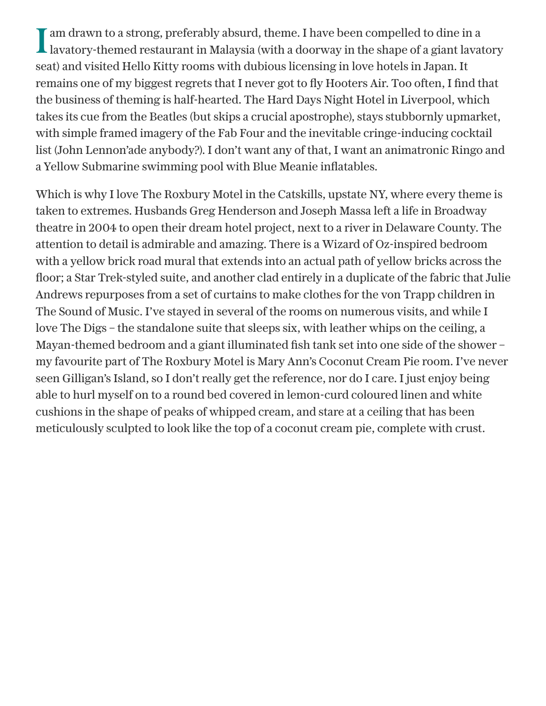I am drawn to a strong, preferably absurd, theme. I have been compelled to dine in a lavatory-themed restaurant in Malaysia (with a doorway in the shape of a giant lavatory am drawn to a strong, preferably absurd, theme. I have been compelled to dine in a seat) and visited Hello Kitty rooms with dubious licensing in love hotels in Japan. It remains one of my biggest regrets that I never got to fly Hooters Air. Too often, I find that the business of theming is half-hearted. The Hard Days Night Hotel in Liverpool, which takes its cue from the Beatles (but skips a crucial apostrophe), stays stubbornly upmarket, with simple framed imagery of the Fab Four and the inevitable cringe-inducing cocktail list (John Lennon'ade anybody?). I don't want any of that, I want an animatronic Ringo and a Yellow Submarine swimming pool with Blue Meanie inflatables.

Which is why I love The Roxbury Motel in the Catskills, upstate NY, where every theme is taken to extremes. Husbands Greg Henderson and Joseph Massa left a life in Broadway theatre in 2004 to open their dream hotel project, next to a river in Delaware County. The attention to detail is admirable and amazing. There is a Wizard of Oz-inspired bedroom with a yellow brick road mural that extends into an actual path of yellow bricks across the floor; a Star Trek-styled suite, and another clad entirely in a duplicate of the fabric that Julie Andrews repurposes from a set of curtains to make clothes for the von Trapp children in The Sound of Music. I've stayed in several of the rooms on numerous visits, and while I love The Digs – the standalone suite that sleeps six, with leather whips on the ceiling, a Mayan-themed bedroom and a giant illuminated fish tank set into one side of the shower – my favourite part of The Roxbury Motel is Mary Ann's Coconut Cream Pie room. I've never seen Gilligan's Island, so I don't really get the reference, nor do I care. I just enjoy being able to hurl myself on to a round bed covered in lemon-curd coloured linen and white cushions in the shape of peaks of whipped cream, and stare at a ceiling that has been meticulously sculpted to look like the top of a coconut cream pie, complete with crust.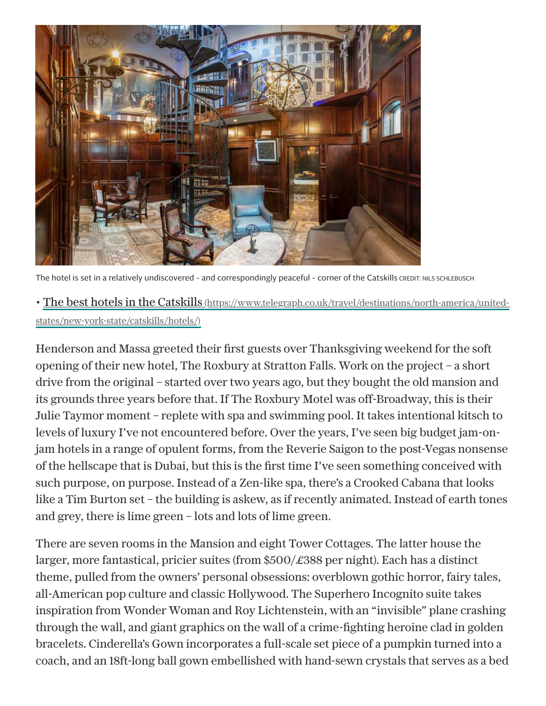

The hotel is set in a relatively undiscovered - and correspondingly peaceful - corner of the Catskills CREDIT: NILS SCHLEBUSCH

## • The best hotels in the Catskills [\(https://www.telegraph.co.uk/travel/destinations/north-america/united](https://www.telegraph.co.uk/travel/destinations/north-america/united-states/new-york-state/catskills/hotels/)states/new-york-state/catskills/hotels/)

Henderson and Massa greeted their first guests over Thanksgiving weekend for the soft opening of their new hotel, The Roxbury at Stratton Falls. Work on the project – a short drive from the original – started over two years ago, but they bought the old mansion and its grounds three years before that. If The Roxbury Motel was off-Broadway, this is their Julie Taymor moment – replete with spa and swimming pool. It takes intentional kitsch to levels of luxury I've not encountered before. Over the years, I've seen big budget jam-onjam hotels in a range of opulent forms, from the Reverie Saigon to the post-Vegas nonsense of the hellscape that is Dubai, but this is the first time I've seen something conceived with such purpose, on purpose. Instead of a Zen-like spa, there's a Crooked Cabana that looks like a Tim Burton set – the building is askew, as if recently animated. Instead of earth tones and grey, there is lime green – lots and lots of lime green.

There are seven rooms in the Mansion and eight Tower Cottages. The latter house the larger, more fantastical, pricier suites (from \$500/£388 per night). Each has a distinct theme, pulled from the owners' personal obsessions: overblown gothic horror, fairy tales, all-American pop culture and classic Hollywood. The Superhero Incognito suite takes inspiration from Wonder Woman and Roy Lichtenstein, with an "invisible" plane crashing through the wall, and giant graphics on the wall of a crime-fighting heroine clad in golden bracelets. Cinderella's Gown incorporates a full-scale set piece of a pumpkin turned into a coach, and an 18ft-long ball gown embellished with hand-sewn crystals that serves as a bed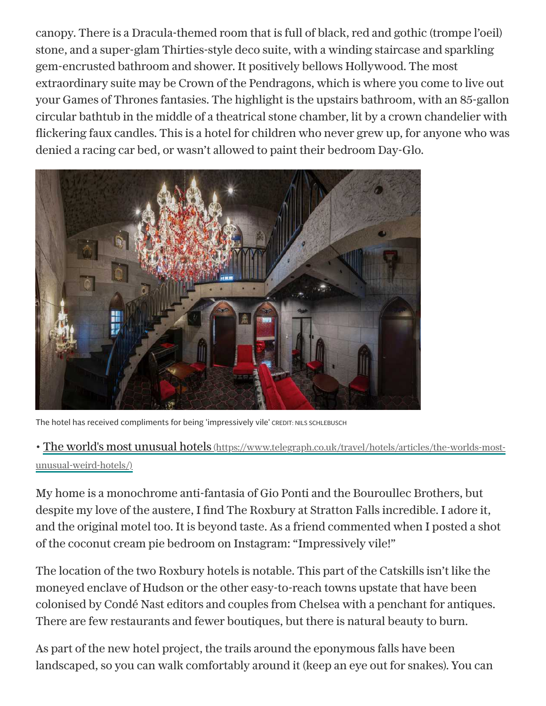canopy. There is a Dracula-themed room that is full of black, red and gothic (trompe l'oeil) stone, and a super-glam Thirties-style deco suite, with a winding staircase and sparkling gem-encrusted bathroom and shower. It positively bellows Hollywood. The most extraordinary suite may be Crown of the Pendragons, which is where you come to live out your Games of Thrones fantasies. The highlight is the upstairs bathroom, with an 85-gallon circular bathtub in the middle of a theatrical stone chamber, lit by a crown chandelier with flickering faux candles. This is a hotel for children who never grew up, for anyone who was denied a racing car bed, or wasn't allowed to paint their bedroom Day-Glo.



The hotel has received compliments for being 'impressively vile' CREDIT: NILS SCHLEBUSCH

• The world's most unusual hotels [\(https://www.telegraph.co.uk/travel/hotels/articles/the-worlds-most](https://www.telegraph.co.uk/travel/hotels/articles/the-worlds-most-unusual-weird-hotels/)unusual-weird-hotels/)

My home is a monochrome anti-fantasia of Gio Ponti and the Bouroullec Brothers, but despite my love of the austere, I find The Roxbury at Stratton Falls incredible. I adore it, and the original motel too. It is beyond taste. As a friend commented when I posted a shot of the coconut cream pie bedroom on Instagram: "Impressively vile!"

The location of the two Roxbury hotels is notable. This part of the Catskills isn't like the moneyed enclave of Hudson or the other easy-to-reach towns upstate that have been colonised by Condé Nast editors and couples from Chelsea with a penchant for antiques. There are few restaurants and fewer boutiques, but there is natural beauty to burn.

As part of the new hotel project, the trails around the eponymous falls have been landscaped, so you can walk comfortably around it (keep an eye out for snakes). You can